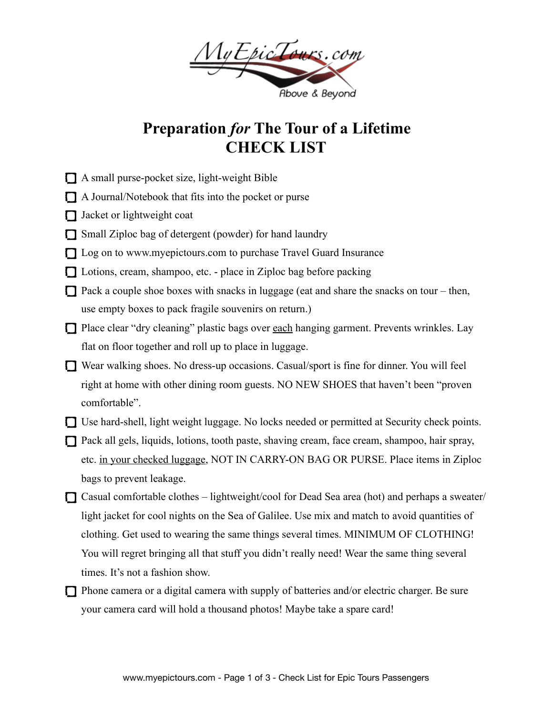

## **Preparation** *for* **The Tour of a Lifetime CHECK LIST**

- A small purse-pocket size, light-weight Bible
- $\Box$  A Journal/Notebook that fits into the pocket or purse
- Jacket or lightweight coat
- Small Ziploc bag of detergent (powder) for hand laundry
- □ Log on to [www.myepictours.com](http://www.myepictours.com) to purchase Travel Guard Insurance
- □ Lotions, cream, shampoo, etc. place in Ziploc bag before packing
- $\Box$  Pack a couple shoe boxes with snacks in luggage (eat and share the snacks on tour then, use empty boxes to pack fragile souvenirs on return.)
- □ Place clear "dry cleaning" plastic bags over each hanging garment. Prevents wrinkles. Lay flat on floor together and roll up to place in luggage.
- Wear walking shoes. No dress-up occasions. Casual/sport is fine for dinner. You will feel right at home with other dining room guests. NO NEW SHOES that haven't been "proven comfortable".
- Use hard-shell, light weight luggage. No locks needed or permitted at Security check points.
- Pack all gels, liquids, lotions, tooth paste, shaving cream, face cream, shampoo, hair spray, etc. in your checked luggage, NOT IN CARRY-ON BAG OR PURSE. Place items in Ziploc bags to prevent leakage.
- $\Box$  Casual comfortable clothes lightweight/cool for Dead Sea area (hot) and perhaps a sweater/ light jacket for cool nights on the Sea of Galilee. Use mix and match to avoid quantities of clothing. Get used to wearing the same things several times. MINIMUM OF CLOTHING! You will regret bringing all that stuff you didn't really need! Wear the same thing several times. It's not a fashion show.
- $\Box$  Phone camera or a digital camera with supply of batteries and/or electric charger. Be sure your camera card will hold a thousand photos! Maybe take a spare card!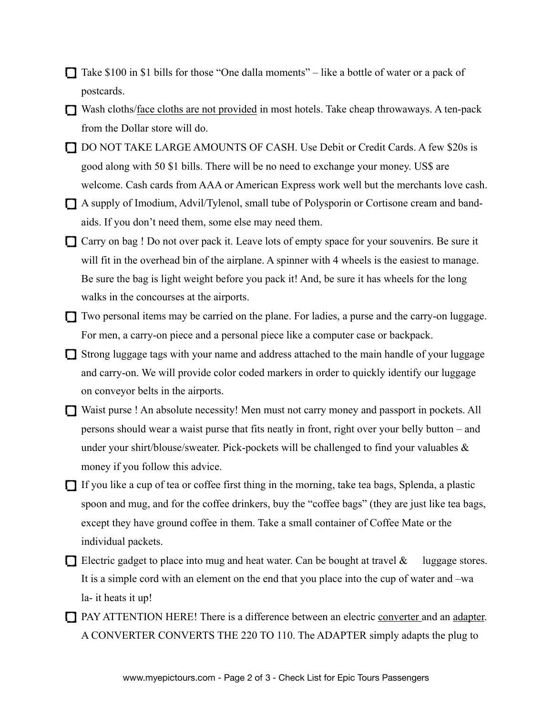- $\Box$  Take \$100 in \$1 bills for those "One dalla moments" like a bottle of water or a pack of postcards.
- Wash cloths/face cloths are not provided in most hotels. Take cheap throwaways. A ten-pack from the Dollar store will do.
- DO NOT TAKE LARGE AMOUNTS OF CASH. Use Debit or Credit Cards. A few \$20s is good along with 50 \$1 bills. There will be no need to exchange your money. US\$ are welcome. Cash cards from AAA or American Express work well but the merchants love cash.
- A supply of Imodium, Advil/Tylenol, small tube of Polysporin or Cortisone cream and bandaids. If you don't need them, some else may need them.
- Carry on bag ! Do not over pack it. Leave lots of empty space for your souvenirs. Be sure it will fit in the overhead bin of the airplane. A spinner with 4 wheels is the easiest to manage. Be sure the bag is light weight before you pack it! And, be sure it has wheels for the long walks in the concourses at the airports.
- Two personal items may be carried on the plane. For ladies, a purse and the carry-on luggage. For men, a carry-on piece and a personal piece like a computer case or backpack.
- Strong luggage tags with your name and address attached to the main handle of your luggage and carry-on. We will provide color coded markers in order to quickly identify our luggage on conveyor belts in the airports.
- Waist purse ! An absolute necessity! Men must not carry money and passport in pockets. All persons should wear a waist purse that fits neatly in front, right over your belly button – and under your shirt/blouse/sweater. Pick-pockets will be challenged to find your valuables  $\&$ money if you follow this advice.
- $\Box$  If you like a cup of tea or coffee first thing in the morning, take tea bags, Splenda, a plastic spoon and mug, and for the coffee drinkers, buy the "coffee bags" (they are just like tea bags, except they have ground coffee in them. Take a small container of Coffee Mate or the individual packets.
- Electric gadget to place into mug and heat water. Can be bought at travel  $\&$  luggage stores. It is a simple cord with an element on the end that you place into the cup of water and –wa la- it heats it up!
- PAY ATTENTION HERE! There is a difference between an electric converter and an adapter. A CONVERTER CONVERTS THE 220 TO 110. The ADAPTER simply adapts the plug to